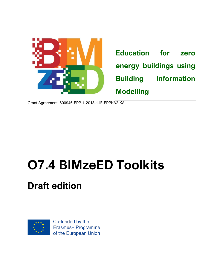

Grant Agreement: 600946-EPP-1-2018-1-IE-EPPKA2-KA

# **O7.4 BIMzeED Toolkits**

# **Draft edition**



Co-funded by the Erasmus+ Programme of the European Union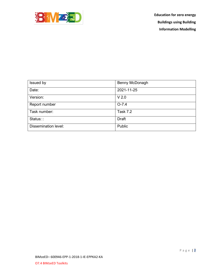

| Issued by                   | Benny McDonagh   |
|-----------------------------|------------------|
| Date:                       | 2021-11-25       |
| Version:                    | V <sub>2.0</sub> |
| Report number               | $O - 7.4$        |
| Task number:                | Task 7.2         |
| Status::                    | <b>Draft</b>     |
| <b>Dissemination level:</b> | Public           |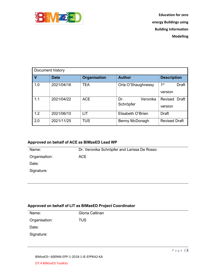

| Document history |             |                     |                              |                                |  |
|------------------|-------------|---------------------|------------------------------|--------------------------------|--|
| $\mathbf v$      | <b>Date</b> | <b>Organisation</b> | <b>Author</b>                | <b>Description</b>             |  |
| 1.0              | 2021/04/16  | <b>TEA</b>          | Orla O'Shaughnessy           | 1st<br><b>Draft</b><br>version |  |
| 1.1              | 2021/04/22  | <b>ACE</b>          | Veronika<br>Dr.<br>Schröpfer | Revised Draft<br>version       |  |
| 1.2              | 2021/06/10  | LIT                 | Elisabeth O'Brien            | Draft                          |  |
| 2.0              | 2021/11/25  | <b>TUS</b>          | Benny McDonagh               | <b>Revised Draft</b>           |  |

#### **Approved on behalf of ACE as BIMzeED Lead WP**

| Name:         | Dr. Veronika Schröpfer and Larissa De Rosso |
|---------------|---------------------------------------------|
| Organisation: | <b>ACE</b>                                  |
| Date:         |                                             |
| Signature:    |                                             |
|               |                                             |

#### **Approved on behalf of LIT as BIMzeED Project Coordinator**

| Name:         | Gloria Callinan |
|---------------|-----------------|
| Organisation: | <b>TUS</b>      |
| Date:         |                 |
| Signature:    |                 |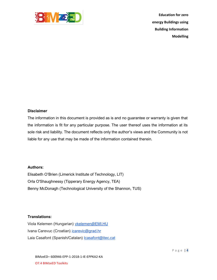

#### **Disclaimer**

The information in this document is provided as is and no guarantee or warranty is given that the information is fit for any particular purpose. The user thereof uses the information at its sole risk and liability. The document reflects only the author's views and the Community is not liable for any use that may be made of the information contained therein.

#### **Authors:**

Elisabeth O'Brien (Limerick Institute of Technology, LIT) Orla O'Shaughnessy (Tipperary Energy Agency, TEA) Benny McDonagh (Technological University of the Shannon, TUS)

#### **Translations:**

Viola Kelemen (Hungarian) [vkelemen@EMI.HU](mailto:vkelemen@EMI.HU) Ivana Carevuc (Croatian) [icarevic@grad.hr](mailto:icarevic@grad.hr) Laia Casafont (Spanish/Catalan) [lcasafont@itec.cat](mailto:lcasafont@itec.cat)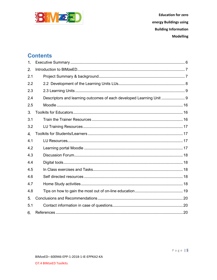

# **Contents**

| 1.  |                                                                      |
|-----|----------------------------------------------------------------------|
| 2.  |                                                                      |
| 2.1 |                                                                      |
| 2.2 |                                                                      |
| 2.3 |                                                                      |
| 2.4 | Descriptors and learning outcomes of each developed Learning Unit  9 |
| 2.5 |                                                                      |
| 3.  |                                                                      |
| 3.1 |                                                                      |
| 3.2 |                                                                      |
| 4.  |                                                                      |
| 4.1 |                                                                      |
| 4.2 |                                                                      |
| 4.3 |                                                                      |
| 4.4 |                                                                      |
| 4.5 |                                                                      |
| 4.6 |                                                                      |
| 4.7 |                                                                      |
| 4.8 |                                                                      |
| 5.  |                                                                      |
| 5.1 |                                                                      |
| 6.  |                                                                      |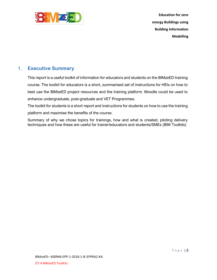

#### <span id="page-5-0"></span> $1<sub>1</sub>$ **Executive Summary**

This report is a useful toolkit of information for educators and students on the BIMzeED training course. The toolkit for educators is a short, summarised set of instructions for HEIs on how to best use the BIMzeED project resources and the training platform. Moodle could be used to enhance undergraduate, post-graduate and VET Programmes.

The toolkit for students is a short report and instructions for students on how to use the training platform and maximise the benefits of the course.

Summary of why we chose topics for trainings, how and what is created, piloting delivery techniques and how these are useful for trainer/educators and students/SMEs (BIM Toolkits)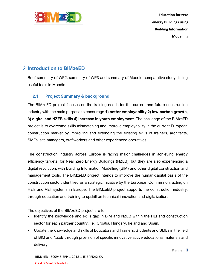

# <span id="page-6-0"></span>**Introduction to BIMzeED**

Brief summary of WP2, summary of WP3 and summary of Moodle comparative study, listing useful tools in Moodle

### <span id="page-6-1"></span>**2.1 Project Summary & background**

The BIMzeED project focuses on the training needs for the current and future construction industry with the main purpose to encourage **1) better employability 2) low-carbon growth, 3) digital and NZEB skills 4) increase in youth employment**. The challenge of the BIMzeED project is to overcome skills mismatching and improve employability in the current European construction market by improving and extending the existing skills of trainers, architects, SMEs, site managers, craftworkers and other experienced operatives.

The construction industry across Europe is facing major challenges in achieving energy efficiency targets, for Near Zero Energy Buildings (NZEB), but they are also experiencing a digital revolution, with Building Information Modelling (BIM) and other digital construction and management tools. The BIMzeED project intends to improve the human-capital basis of the construction sector, identified as a strategic initiative by the European Commission, acting on HEIs and VET systems in Europe. The BIMzeED project supports the construction industry, through education and training to upskill on technical innovation and digitalization.

The objectives of the BIMzeED project are to:

- Identify the knowledge and skills gap in BIM and NZEB within the HEI and construction sector for each partner country, i.e., Croatia, Hungary, Ireland and Spain.
- Update the knowledge and skills of Educators and Trainers, Students and SMEs in the field of BIM and NZEB through provision of specific innovative active educational materials and delivery.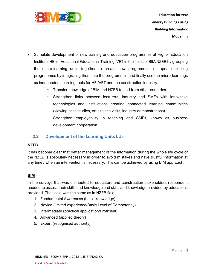

- Stimulate development of new training and education programmes at Higher Education Institute, HEI or Vocational Educational Training, VET in the fields of BIM/NZEB by grouping the micro-learning units together to create new programmes or update existing programmes by integrating them into the programmes and finally use the micro-learnings as independent learning tools for HEI/VET and the construction industry.
	- o Transfer knowledge of BIM and NZEB to and from other countries.
	- $\circ$  Strengthen links between lecturers, industry and SMEs with innovative technologies and installations creating connected learning communities (viewing case studies, on-site site visits, industry demonstrations)
	- o Strengthen employability in teaching and SMEs, known as business development cooperation.

#### <span id="page-7-0"></span>**2.2 Development of the Learning Units LUs**

#### **NZEB**

It has become clear that better management of the information during the whole life cycle of the NZEB is absolutely necessary in order to avoid mistakes and have trustful information at any time / when an intervention is necessary. This can be achieved by using BIM approach.

#### **BIM**

In the surveys that was distributed to educators and construction stakeholders respondent needed to assess their skills and knowledge and skills and knowledge provided by educations provided. The scale was the same as in NZEB field:

- 1. Fundamental Awareness (basic knowledge)
- 2. Novice (limited experience/Basic Level of Competency)
- 3. Intermediate (practical application/Proficient)
- 4. Advanced (applied theory)
- 5. Expert (recognised authority)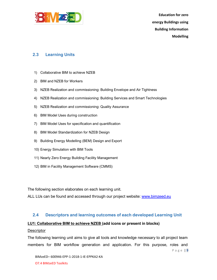

#### <span id="page-8-0"></span>**2.3 Learning Units**

- 1) Collaborative BIM to achieve NZEB
- 2) BIM and NZEB for Workers
- 3) NZEB Realization and commissioning: Building Envelope and Air Tightness
- 4) NZEB Realization and commissioning: Building Services and Smart Technologies
- 5) NZEB Realization and commissioning: Quality Assurance
- 6) BIM Model Uses during construction
- 7) BIM Model Uses for specification and quantification
- 8) BIM Model Standardization for NZEB Design
- 9) Building Energy Modelling (BEM) Design and Export
- 10) Energy Simulation with BIM Tools
- 11) Nearly Zero Energy Building Facility Management
- 12) BIM in Facility Management Software (CMMS)

The following section elaborates on each learning unit.

ALL LUs can be found and accessed through our project website: [www.bimzeed.eu](http://www.bimzee.eu/)

#### <span id="page-8-1"></span>**2.4 Descriptors and learning outcomes of each developed Learning Unit**

#### **LU1: Collaborative BIM to achieve NZEB (add icons or present in blocks)**

#### **Descriptor**

The following learning unit aims to give all tools and knowledge necessary to all project team members for BIM workflow generation and application. For this purpose, roles and

P a g e | **9**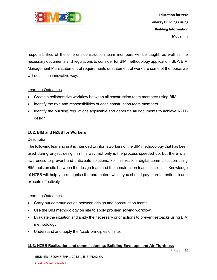

responsibilities of the different construction team members will be taught, as well as the necessary documents and regulations to consider for BIM methodology application. BEP, BIM Management Plan, statement of requirements or statement of work are some of the topics we will deal in an innovative way.

#### Learning Outcomes

- Create a collaborative workflow between all construction team members using BIM.
- Identify the role and responsibilities of each construction team members.
- Identify the building regulations applicable and generate all documents to achieve NZEB design.

#### **LU2: BIM and NZEB for Workers**

#### **Descriptor**

The following learning unit is intended to inform workers of the BIM methodology that has been used during project design, in this way, not only is the process speeded up, but there is an awareness to prevent and anticipate solutions. For this reason, digital communication using BIM tools on site between the design team and the construction team is essential. Knowledge of NZEB will help you recognise the parameters which you should pay more attention to and execute effectively.

#### Learning Outcomes

- Carry out communication between design and construction teams.
- Use the BIM methodology on site to apply problem solving workflow.
- Evaluate the situation and apply the necessary prior actions to prevent setbacks using BIM methodology.
- Understand and apply the NZEB principles on site.

#### **LU3: NZEB Realization and commissioning: Building Envelope and Air Tightness**

P a g e | **10**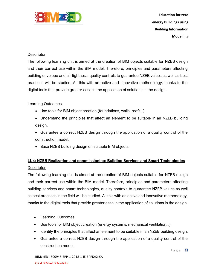

#### **Descriptor**

The following learning unit is aimed at the creation of BIM objects suitable for NZEB design and their correct use within the BIM model. Therefore, principles and parameters affecting building envelope and air tightness, quality controls to guarantee NZEB values as well as best practices will be studied. All this with an active and innovative methodology, thanks to the digital tools that provide greater ease in the application of solutions in the design.

#### Learning Outcomes

- Use tools for BIM object creation (foundations, walls, roofs...)
- Understand the principles that affect an element to be suitable in an NZEB building design.
- Guarantee a correct NZEB design through the application of a quality control of the construction model.
- Base NZEB building design on suitable BIM objects.

# **LU4: NZEB Realization and commissioning: Building Services and Smart Technologies**

#### **Descriptor**

The following learning unit is aimed at the creation of BIM objects suitable for NZEB design and their correct use within the BIM model. Therefore, principles and parameters affecting building services and smart technologies, quality controls to guarantee NZEB values as well as best practices in the field will be studied. All this with an active and innovative methodology, thanks to the digital tools that provide greater ease in the application of solutions in the design.

- Learning Outcomes
- Use tools for BIM object creation (energy systems, mechanical ventilation...).
- Identify the principles that affect an element to be suitable in an NZEB building design.
- Guarantee a correct NZEB design through the application of a quality control of the construction model.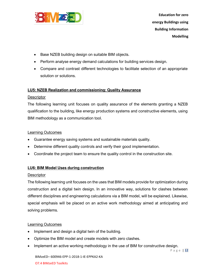

- Base NZEB building design on suitable BIM objects.
- Perform analyse energy demand calculations for building services design.
- Compare and contrast different technologies to facilitate selection of an appropriate solution or solutions.

#### **LU5: NZEB Realization and commissioning: Quality Assurance**

#### **Descriptor**

The following learning unit focuses on quality assurance of the elements granting a NZEB qualification to the building, like energy production systems and constructive elements, using BIM methodology as a communication tool.

#### Learning Outcomes

- Guarantee energy saving systems and sustainable materials quality.
- Determine different quality controls and verify their good implementation.
- Coordinate the project team to ensure the quality control in the construction site.

#### **LU6: BIM Model Uses during construction**

#### **Descriptor**

The following learning unit focuses on the uses that BIM models provide for optimization during construction and a digital twin design. In an innovative way, solutions for clashes between different disciplines and engineering calculations via a BIM model, will be explained. Likewise, special emphasis will be placed on an active work methodology aimed at anticipating and solving problems.

#### Learning Outcomes

- Implement and design a digital twin of the building.
- Optimize the BIM model and create models with zero clashes.
- Implement an active working methodology in the use of BIM for constructive design.

P a g e | **12**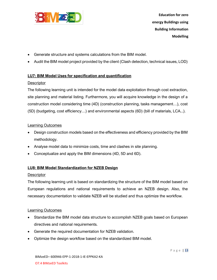

- Generate structure and systems calculations from the BIM model.
- Audit the BIM model project provided by the client (Clash detection, technical issues, LOD)

#### **LU7: BIM Model Uses for specification and quantification**

#### **Descriptor**

The following learning unit is intended for the model data exploitation through cost extraction, site planning and material listing. Furthermore, you will acquire knowledge in the design of a construction model considering time (4D) (construction planning, tasks management…), cost (5D) (budgeting, cost efficiency…) and environmental aspects (6D) (bill of materials, LCA...).

#### Learning Outcomes

- Design construction models based on the effectiveness and efficiency provided by the BIM methodology.
- Analyse model data to minimize costs, time and clashes in site planning.
- Conceptualize and apply the BIM dimensions (4D, 5D and 6D).

#### **LU8: BIM Model Standardization for NZEB Design**

#### **Descriptor**

The following learning unit is based on standardizing the structure of the BIM model based on European regulations and national requirements to achieve an NZEB design. Also, the necessary documentation to validate NZEB will be studied and thus optimize the workflow.

#### Learning Outcomes

- Standardize the BIM model data structure to accomplish NZEB goals based on European directives and national requirements.
- Generate the required documentation for NZEB validation.
- Optimize the design workflow based on the standardized BIM model.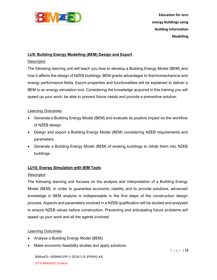

#### **LU9: Building Energy Modelling (BEM) Design and Export**

#### **Descriptor**

The following learning unit will teach you how to develop a Building Energy Model (BEM) and how it affects the design of NZEB buildings. BEM grants advantages to thermomechanical and energy performance fields. Export properties and functionalities will be explained to deliver a BEM to an energy simulation tool. Considering the knowledge acquired in this training you will speed up your work, be able to prevent future needs and provide a preventive solution.

#### Learning Outcomes

- Generate a Building Energy Model (BEM) and evaluate its positive impact on the workflow of NZEB design.
- Design and export a Building Energy Model (BEM) considering NZEB requirements and parameters.
- Generate a Building Energy Model (BEM) of existing buildings to rehab them into NZEB buildings.

#### **LU10: Energy Simulation with BIM Tools**

#### **Descriptor**

The following learning unit focuses on the analysis and interpretation of a Building Energy Model (BEM). In order to guarantee economic viability and to provide solutions, advanced knowledge in BEM analysis is indispensable in the first steps of the construction design process. Aspects and parameters involved in a NZEB qualification will be studied and analysed to ensure NZEB values before construction. Preventing and anticipating future problems will speed up your work and all the agents involved.

#### Learning Outcomes

- Analyse a Building Energy Model (BEM).
- Make economic feasibility studies and apply solutions.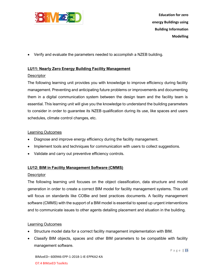

• Verify and evaluate the parameters needed to accomplish a NZEB building.

#### **LU11: Nearly Zero Energy Building Facility Management**

#### **Descriptor**

The following learning unit provides you with knowledge to improve efficiency during facility management. Preventing and anticipating future problems or improvements and documenting them in a digital communication system between the design team and the facility team is essential. This learning unit will give you the knowledge to understand the building parameters to consider in order to guarantee its NZEB qualification during its use, like spaces and users schedules, climate control changes, etc.

#### Learning Outcomes

- Diagnose and improve energy efficiency during the facility management.
- Implement tools and techniques for communication with users to collect suggestions.
- Validate and carry out preventive efficiency controls.

#### **LU12: BIM in Facility Management Software (CMMS)**

#### **Descriptor**

The following learning unit focuses on the object classification, data structure and model generation in order to create a correct BIM model for facility management systems. This unit will focus on standards like COBie and best practices documents. A facility management software (CMMS) with the support of a BIM model is essential to speed up urgent interventions and to communicate issues to other agents detailing placement and situation in the building.

#### Learning Outcomes

- Structure model data for a correct facility management implementation with BIM.
- Classify BIM objects, spaces and other BIM parameters to be compatible with facility management software.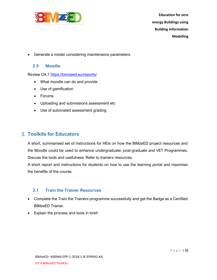

<span id="page-15-0"></span>• Generate a model considering maintenance parameters.

#### **2.5 Moodle**

Review O4.1 <https://bimzeed.eu/reports/>

- What moodle can do and provide
- Use of gamification
- Forums
- Uploading and submissions assessment etc
- Use of automated assessment grading

# <span id="page-15-1"></span>**Toolkits for Educators**

A short, summarised set of instructions for HEIs on how the BIMzeED project resources and the Moodle could be used to enhance undergraduate, post-graduate and VET Programmes. Discuss the tools and usefulness. Refer to trainers resources.

A short report and instructions for students on how to use the learning portal and maximise the benefits of the course.

#### <span id="page-15-2"></span>**3.1 Train the Trainer Resources**

- Complete the Train the Trainers programme successfully and get the Badge as a Certified BIMzeED Trainer.
- Explain the process and tools in brief.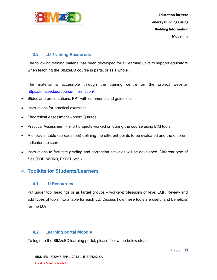

#### <span id="page-16-0"></span>**3.2 LU Training Resources**

The following training material has been developed for all learning units to support educators when teaching the BIMzeED course in parts, or as a whole.

The material is accessible through the training centre on the project website: <https://bimzeed.eu/course-information/>

- Slides and presentations: PPT with comments and guidelines.
- Instructions for practical exercises.
- Theoretical Assessment short Quizzes.
- Practical Assessment short projects worked on during the course using BIM tools.
- A checklist table (spreadsheet) defining the different points to be evaluated and the different indicators to score.
- Instructions to facilitate grading and correction activities will be developed. Different type of files (PDF, WORD, EXCEL, etc.)

# <span id="page-16-1"></span>**Toolkits for Students/Learners**

#### <span id="page-16-2"></span>**4.1 LU Resources**

Put under tool headings or as target groups – worker/professions or level EQF. Review and add types of tools into a table for each LU. Discuss how these tools are useful and beneficial for the LUs.

#### <span id="page-16-3"></span>**4.2 Learning portal Moodle**

To login to the BIMzeED learning portal, please follow the below steps;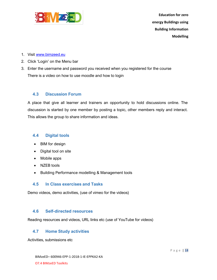

- 1. Visit [www.bimzeed.eu](http://www.bimzeed.eu/)
- 2. Click 'Login' on the Menu bar
- 3. Enter the username and password you received when you registered for the course There is a video on how to use moodle and how to login

#### <span id="page-17-0"></span>**4.3 Discussion Forum**

A place that give all learner and trainers an opportunity to hold discussions online. The discussion is started by one member by posting a topic, other members reply and interact. This allows the group to share information and ideas.

#### <span id="page-17-1"></span>**4.4 Digital tools**

- BIM for design
- Digital tool on site
- Mobile apps
- NZEB tools
- Building Performance modelling & Management tools

#### <span id="page-17-2"></span>**4.5 In Class exercises and Tasks**

Demo videos, demo activities, (use of vimeo for the videos)

#### <span id="page-17-3"></span>**4.6 Self-directed resources**

<span id="page-17-4"></span>Reading resources and videos, URL links etc (use of YouTube for videos)

#### **4.7 Home Study activities**

Activities, submissions etc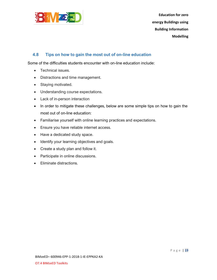

#### <span id="page-18-0"></span>**4.8 Tips on how to gain the most out of on-line education**

Some of the difficulties students encounter with on-line education include:

- Technical issues.
- Distractions and time management.
- Staying motivated.
- Understanding course expectations.
- Lack of in-person interaction
- In order to mitigate these challenges, below are some simple tips on how to gain the most out of on-line education:
- Familiarise yourself with online learning practices and expectations.
- Ensure you have reliable internet access.
- Have a dedicated study space.
- Identify your learning objectives and goals.
- Create a study plan and follow it.
- Participate in online discussions.
- Eliminate distractions.